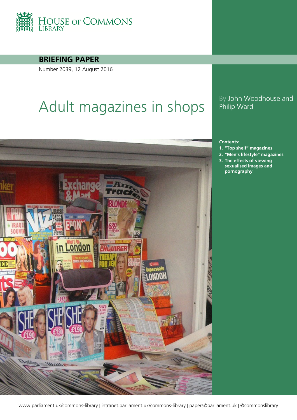

### **BRIEFING PAPER**

Number 2039, 12 August 2016

# Adult magazines in shops By John Woodhouse and



#### **Contents:**

- **1. ["Top shelf" magazines](#page-3-0)**
- **2. ["Men's lifestyle" magazines](#page-4-0)**
- **3. [The effects of viewing](#page-6-0)  [sexualised images and](#page-6-0)  [pornography](#page-6-0)**

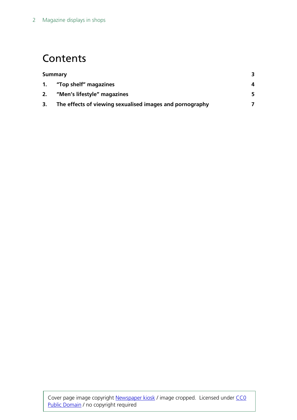# **Contents**

| Summary |                                                          |   |
|---------|----------------------------------------------------------|---|
|         | 1. "Top shelf" magazines                                 | 4 |
|         | 2. "Men's lifestyle" magazines                           | 5 |
| 3.      | The effects of viewing sexualised images and pornography |   |

Cover page image copyright [Newspaper kiosk](https://pixabay.com/en/newspapers-newspaper-stand-kiosk-677393/) / image cropped. Licensed under CCO [Public Domain](https://pixabay.com/en/service/terms/#usage) / no copyright required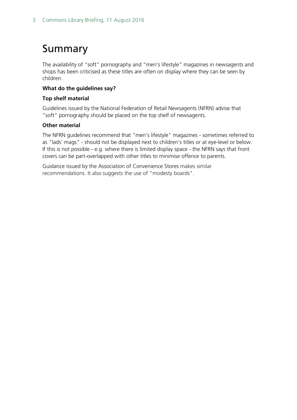# <span id="page-2-0"></span>Summary

The availability of "soft" pornography and "men's lifestyle" magazines in newsagents and shops has been criticised as these titles are often on display where they can be seen by children.

### **What do the guidelines say?**

#### **Top shelf material**

Guidelines issued by the National Federation of Retail Newsagents (NFRN) advise that "soft" pornography should be placed on the top shelf of newsagents.

#### **Other material**

The NFRN guidelines recommend that "men's lifestyle" magazines - sometimes referred to as "lads' mags" - should not be displayed next to children's titles or at eye-level or below. If this is not possible - e.g. where there is limited display space - the NFRN says that front covers can be part-overlapped with other titles to minimise offence to parents.

Guidance issued by the Association of Convenience Stores makes similar recommendations. It also suggests the use of "modesty boards".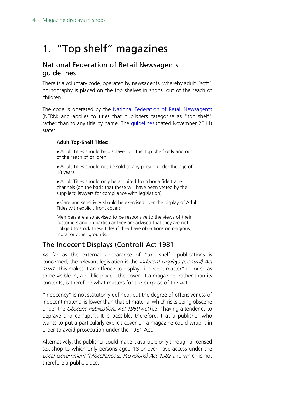# <span id="page-3-0"></span>1. "Top shelf" magazines

### National Federation of Retail Newsagents guidelines

There is a voluntary code, operated by newsagents, whereby adult "soft" pornography is placed on the top shelves in shops, out of the reach of children.

The code is operated by the [National Federation of Retail Newsagents](https://www.nfrnonline.com/About-NFRN/What-is-the-NFRN-1) (NFRN) and applies to titles that publishers categorise as "top shelf" rather than to any title by name. The [guidelines](https://www.nfrnonline.com/news/guidance-on-displaying-adult-titles/?doing_wp_cron=1469020567.4534699916839599609375) (dated November 2014) state:

#### **Adult Top-Shelf Titles:**

• Adult Titles should be displayed on the Top Shelf only and out of the reach of children

• Adult Titles should not be sold to any person under the age of 18 years.

• Adult Titles should only be acquired from bona fide trade channels (on the basis that these will have been vetted by the suppliers' lawyers for compliance with legislation)

• Care and sensitivity should be exercised over the display of Adult Titles with explicit front covers

Members are also advised to be responsive to the views of their customers and, in particular they are advised that they are not obliged to stock these titles if they have objections on religious, moral or other grounds.

# The Indecent Displays (Control) Act 1981

As far as the external appearance of "top shelf" publications is concerned, the relevant legislation is the *Indecent Displays (Control) Act* 1981. This makes it an offence to display "indecent matter" in, or so as to be visible in, a public place - the cover of a magazine, rather than its contents, is therefore what matters for the purpose of the Act.

"Indecency" is not statutorily defined, but the degree of offensiveness of indecent material is lower than that of material which risks being obscene under the *Obscene Publications Act 1959 Act* (i.e. "having a tendency to deprave and corrupt"). It is possible, therefore, that a publisher who wants to put a particularly explicit cover on a magazine could wrap it in order to avoid prosecution under the 1981 Act.

Alternatively, the publisher could make it available only through a licensed sex shop to which only persons aged 18 or over have access under the Local Government (Miscellaneous Provisions) Act 1982 and which is not therefore a public place.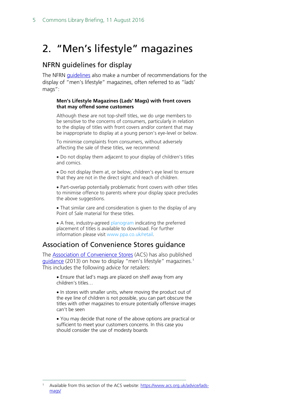# <span id="page-4-0"></span>2. "Men's lifestyle" magazines

### NFRN guidelines for display

The NFRN [guidelines](https://www.nfrnonline.com/news/guidance-on-displaying-adult-titles/?doing_wp_cron=1469020567.4534699916839599609375) also make a number of recommendations for the display of "men's lifestyle" magazines, often referred to as "lads' mags":

#### **Men's Lifestyle Magazines (Lads' Mags) with front covers that may offend some customers**

Although these are not top-shelf titles, we do urge members to be sensitive to the concerns of consumers, particularly in relation to the display of titles with front covers and/or content that may be inappropriate to display at a young person's eye-level or below.

To minimise complaints from consumers, without adversely affecting the sale of these titles, we recommend:

• Do not display them adjacent to your display of children's titles and comics.

• Do not display them at, or below, children's eye level to ensure that they are not in the direct sight and reach of children.

• Part-overlap potentially problematic front covers with other titles to minimise offence to parents where your display space precludes the above suggestions.

• That similar care and consideration is given to the display of any Point of Sale material for these titles.

• A free, industry-agreed [planogram i](http://www.ppa.co.uk/public/downloads/retail/research/PPA12ppMMMFMbrochurevMay26.pdf)ndicating the preferred placement of titles is available to download. For further information please visit [www.ppa.co.uk/retail.](http://www.ppa.co.uk/retail)

### Association of Convenience Stores guidance

The [Association of Convenience Stores](https://www.acs.org.uk/) (ACS) has also published [guidance](https://www.acs.org.uk/?wpdmdl=833) (20[1](#page-4-1)3) on how to display "men's lifestyle" magazines.<sup>1</sup> This includes the following advice for retailers:

• Ensure that lad's mags are placed on shelf away from any children's titles…

• In stores with smaller units, where moving the product out of the eye line of children is not possible, you can part obscure the titles with other magazines to ensure potentially offensive images can't be seen

• You may decide that none of the above options are practical or sufficient to meet your customers concerns. In this case you should consider the use of modesty boards

<span id="page-4-1"></span>Available from this section of the ACS website: [https://www.acs.org.uk/advice/lads](https://www.acs.org.uk/advice/lads-mags/)[mags/](https://www.acs.org.uk/advice/lads-mags/)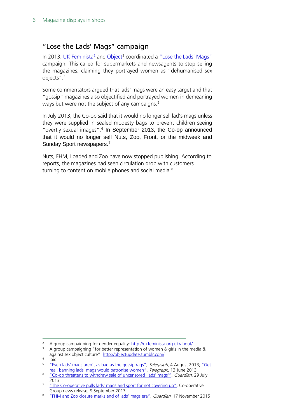## "Lose the Lads' Mags" campaign

In 2013, [UK Feminista](http://ukfeminista.org.uk/)<sup>[2](#page-5-0)</sup> and [Object](http://objectupdate.tumblr.com/)<sup>[3](#page-5-1)</sup> coordinated a ["Lose the Lads' Mags"](http://www.losetheladsmags.org.uk/about/) campaign. This called for supermarkets and newsagents to stop selling the magazines, claiming they portrayed women as "dehumanised sex objects".[4](#page-5-2)

Some commentators argued that lads' mags were an easy target and that "gossip" magazines also objectified and portrayed women in demeaning ways but were not the subject of any campaigns.<sup>[5](#page-5-3)</sup>

In July 2013, the Co-op said that it would no longer sell lad's mags unless they were supplied in sealed modesty bags to prevent children seeing "overtly sexual images".[6](#page-5-4) In September 2013, the Co-op announced that it would no longer sell Nuts, Zoo, Front, or the midweek and Sunday Sport newspapers.<sup>[7](#page-5-5)</sup>

Nuts, FHM, Loaded and Zoo have now stopped publishing. According to reports, the magazines had seen circulation drop with customers turning to content on mobile phones and social media.<sup>[8](#page-5-6)</sup>

<span id="page-5-0"></span><sup>&</sup>lt;sup>2</sup> A group campaigning for gender equality:  $\frac{http://ukfeminista.org.uk/about/3}{http://ukfeminista.org.uk/about/3}$ 

<span id="page-5-1"></span><sup>3</sup> A group campaigning "for better representation of women & girls in the media & against sex object culture":<http://objectupdate.tumblr.com/>

<span id="page-5-2"></span><sup>4</sup> Ibid

<span id="page-5-3"></span>[<sup>&</sup>quot;Even lads' mags aren't as bad as the gossip rags",](http://www.telegraph.co.uk/women/womens-life/10221793/Even-lads-mags-arent-as-bad-as-the-gossip-rags.html) Telegraph, 4 August 2013; "Get [real, banning lads' mags would patronise women",](http://www.telegraph.co.uk/women/womens-life/10117714/Get-real-banning-lads-mags-would-patronise-women.html) *Telegraph*, 13 June 2013

<span id="page-5-4"></span><sup>&</sup>lt;sup>6</sup> *["Co-op threatens to withdraw sale of uncensored 'lads' mags'",](http://www.theguardian.com/business/2013/jul/29/co-op-lads-mags-ban-sale-censored?CMP=twt_gu) Guardian*, 29 July 2013

<span id="page-5-5"></span><sup>&</sup>lt;sup>7</sup> ["The Co-operative pulls lads' mags and sport for not covering up",](http://www.co-operative.coop/corporate/Press/Press-releases/Food/lads-mags/) Co-operative Group news release, 9 September 2013

<span id="page-5-6"></span><sup>&</sup>lt;sup>8</sup> ["FHM and Zoo closure marks end of lads' mags era",](https://www.theguardian.com/media/2015/nov/17/fhm-zoo-magazines-suspend-publication) *Guardian*, 17 November 2015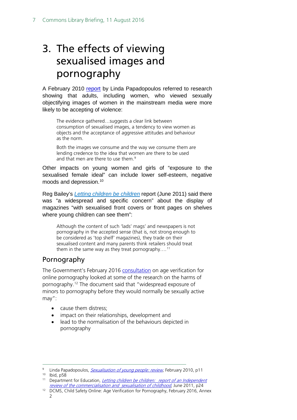# <span id="page-6-0"></span>3. The effects of viewing sexualised images and pornography

A February 2010 [report](http://webarchive.nationalarchives.gov.uk/+/http:/www.homeoffice.gov.uk/documents/Sexualisation-of-young-people2835.pdf?view=Binary) by Linda Papadopoulos referred to research showing that adults, including women, who viewed sexually objectifying images of women in the mainstream media were more likely to be accepting of violence:

The evidence gathered…suggests a clear link between consumption of sexualised images, a tendency to view women as objects and the acceptance of aggressive attitudes and behaviour as the norm.

Both the images we consume and the way we consume them are lending credence to the idea that women are there to be used and that men are there to use them.<sup>[9](#page-6-1)</sup>

Other impacts on young women and girls of "exposure to the sexualised female ideal" can include lower self-esteem, negative moods and depression.[10](#page-6-2)

Reg Bailey's *[Letting children be children](https://www.gov.uk/government/uploads/system/uploads/attachment_data/file/175418/Bailey_Review.pdf)* report (June 2011) said there was "a widespread and specific concern" about the display of magazines "with sexualised front covers or front pages on shelves where young children can see them":

Although the content of such 'lads' mags' and newspapers is not pornography in the accepted sense (that is, not strong enough to be considered as 'top shelf' magazines), they trade on their sexualised content and many parents think retailers should treat them in the same way as they treat pornography.... $^{11}$  $^{11}$  $^{11}$ 

# Pornography

The Government's February 2016 [consultation](http://dera.ioe.ac.uk/25506/1/AV_ConsultationDCMS_20160216.pdf) on age verification for online pornography looked at some of the research on the harms of pornography.[12](#page-6-4) The document said that "widespread exposure of minors to pornography before they would normally be sexually active may":

- cause them distress;
- impact on their relationships, development and
- lead to the normalisation of the behaviours depicted in pornography

<span id="page-6-1"></span><sup>&</sup>lt;sup>9</sup> Linda Papadopoulos, *[Sexualisation of young people: review](http://webarchive.nationalarchives.gov.uk/+/http:/www.homeoffice.gov.uk/documents/Sexualisation-of-young-people2835.pdf?view=Binary)*, February 2010, p11

<span id="page-6-2"></span> $10$  Ibid, p58

<span id="page-6-3"></span><sup>&</sup>lt;sup>11</sup> Department for Education, *[Letting children be children:](https://www.gov.uk/government/uploads/system/uploads/attachment_data/file/175418/Bailey_Review.pdf) report of an Independent* [review of the commercialisation and sexualisation of childhood](https://www.gov.uk/government/uploads/system/uploads/attachment_data/file/175418/Bailey_Review.pdf), June 2011, p24

<span id="page-6-4"></span><sup>12</sup> DCMS, Child Safety Online: Age Verification for Pornography, February 2016, Annex 2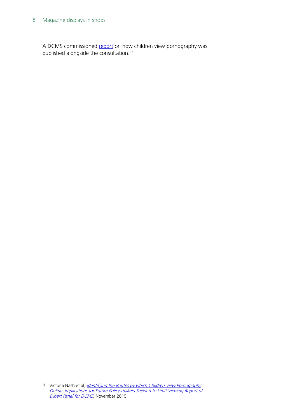### 8 Magazine displays in shops

A DCMS commissioned [report](https://www.gov.uk/government/uploads/system/uploads/attachment_data/file/500701/Report_of_DCMS_Expert_Panel__Autumn_2015__FINAL_.pdf) on how children view pornography was published alongside the consultation.[13](#page-7-0)

<span id="page-7-0"></span><sup>&</sup>lt;sup>13</sup> Victoria Nash et al, *Identifying the Routes by which Children View Pornography* [Online: Implications for Future Policy-makers Seeking to Limit Viewing Report of](https://www.gov.uk/government/uploads/system/uploads/attachment_data/file/500701/Report_of_DCMS_Expert_Panel__Autumn_2015__FINAL_.pdf)  *[Expert Panel for DCMS](https://www.gov.uk/government/uploads/system/uploads/attachment_data/file/500701/Report_of_DCMS_Expert_Panel__Autumn_2015__FINAL_.pdf)*, November 2015